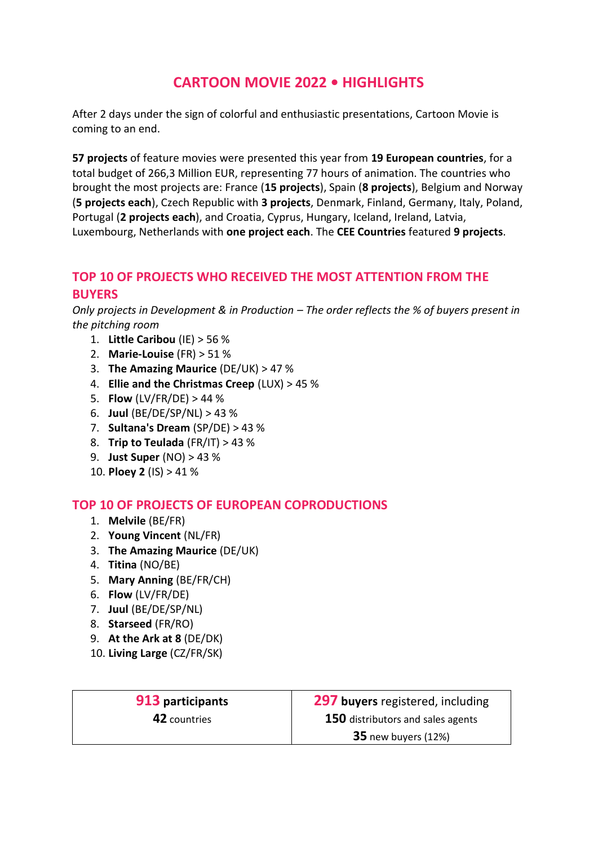# **CARTOON MOVIE 2022 • HIGHLIGHTS**

After 2 days under the sign of colorful and enthusiastic presentations, Cartoon Movie is coming to an end.

**57 projects** of feature movies were presented this year from **19 European countries**, for a total budget of 266,3 Million EUR, representing 77 hours of animation. The countries who brought the most projects are: France (**15 projects**), Spain (**8 projects**), Belgium and Norway (**5 projects each**), Czech Republic with **3 projects**, Denmark, Finland, Germany, Italy, Poland, Portugal (**2 projects each**), and Croatia, Cyprus, Hungary, Iceland, Ireland, Latvia, Luxembourg, Netherlands with **one project each**. The **CEE Countries** featured **9 projects**.

### **TOP 10 OF PROJECTS WHO RECEIVED THE MOST ATTENTION FROM THE BUYERS**

*Only projects in Development & in Production – The order reflects the % of buyers present in the pitching room*

- 1. **Little Caribou** (IE) > 56 %
- 2. **Marie-Louise** (FR) > 51 %
- 3. **The Amazing Maurice** (DE/UK) > 47 %
- 4. **Ellie and the Christmas Creep** (LUX) > 45 %
- 5. **Flow** (LV/FR/DE) > 44 %
- 6. **Juul** (BE/DE/SP/NL) > 43 %
- 7. **Sultana's Dream** (SP/DE) > 43 %
- 8. **Trip to Teulada** (FR/IT) > 43 %
- 9. **Just Super** (NO) > 43 %
- 10. **Ploey 2** (IS) > 41 %

### **TOP 10 OF PROJECTS OF EUROPEAN COPRODUCTIONS**

- 1. **Melvile** (BE/FR)
- 2. **Young Vincent** (NL/FR)
- 3. **The Amazing Maurice** (DE/UK)
- 4. **Titina** (NO/BE)
- 5. **Mary Anning** (BE/FR/CH)
- 6. **Flow** (LV/FR/DE)
- 7. **Juul** (BE/DE/SP/NL)
- 8. **Starseed** (FR/RO)
- 9. **At the Ark at 8** (DE/DK)
- 10. **Living Large** (CZ/FR/SK)

| 913 participants | 297 buyers registered, including         |
|------------------|------------------------------------------|
| 42 countries     | <b>150</b> distributors and sales agents |
|                  | $35$ new buyers (12%)                    |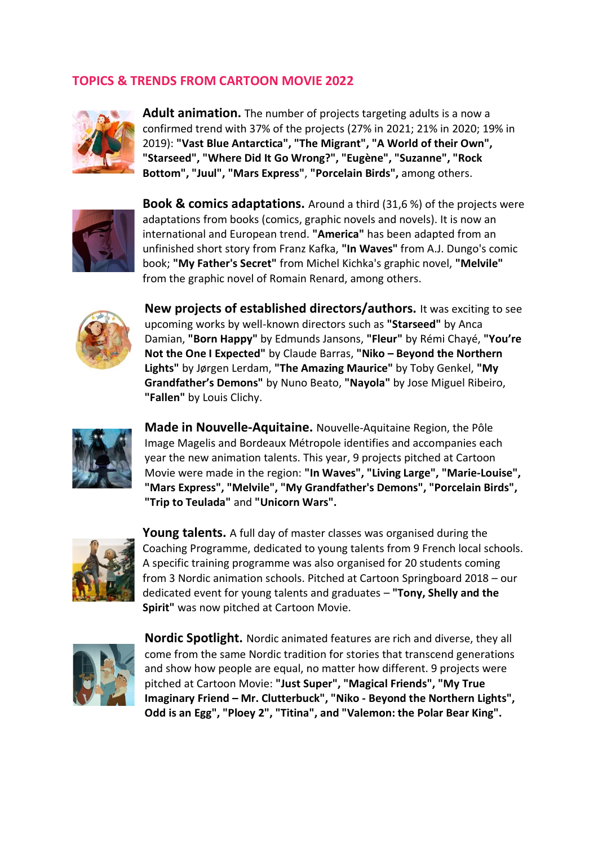## **TOPICS & TRENDS FROM CARTOON MOVIE 2022**



**Adult animation.** The number of projects targeting adults is a now a confirmed trend with 37% of the projects (27% in 2021; 21% in 2020; 19% in 2019): **"Vast Blue Antarctica", "The Migrant", "A World of their Own", "Starseed", "Where Did It Go Wrong?", "Eugène", "Suzanne", "Rock Bottom", "Juul", "Mars Express"**, **"Porcelain Birds",** among others.



**Book & comics adaptations.** Around a third (31,6 %) of the projects were adaptations from books (comics, graphic novels and novels). It is now an international and European trend. **"America"** has been adapted from an unfinished short story from Franz Kafka, **"In Waves"** from A.J. Dungo's comic book; **"My Father's Secret"** from Michel Kichka's graphic novel, **"Melvile"** from the graphic novel of Romain Renard, among others.



**New projects of established directors/authors.** It was exciting to see upcoming works by well-known directors such as **"Starseed"** by Anca Damian, **"Born Happy"** by Edmunds Jansons, **"Fleur"** by Rémi Chayé, **"You're Not the One I Expected"** by Claude Barras, **"Niko – Beyond the Northern Lights"** by Jørgen Lerdam, **"The Amazing Maurice"** by Toby Genkel, **"My Grandfather's Demons"** by Nuno Beato, **"Nayola"** by Jose Miguel Ribeiro, **"Fallen"** by Louis Clichy.



**Made in Nouvelle-Aquitaine.** Nouvelle-Aquitaine Region, the Pôle Image Magelis and Bordeaux Métropole identifies and accompanies each year the new animation talents. This year, 9 projects pitched at Cartoon Movie were made in the region: **"In Waves", "Living Large", "Marie-Louise", "Mars Express", "Melvile", "My Grandfather's Demons", "Porcelain Birds", "Trip to Teulada"** and **"Unicorn Wars".**



**Young talents.** A full day of master classes was organised during the Coaching Programme, dedicated to young talents from 9 French local schools. A specific training programme was also organised for 20 students coming from 3 Nordic animation schools. Pitched at Cartoon Springboard 2018 – our dedicated event for young talents and graduates – **"Tony, Shelly and the Spirit"** was now pitched at Cartoon Movie.



**Nordic Spotlight.** Nordic animated features are rich and diverse, they all come from the same Nordic tradition for stories that transcend generations and show how people are equal, no matter how different. 9 projects were pitched at Cartoon Movie: **"Just Super", "Magical Friends", "My True Imaginary Friend – Mr. Clutterbuck", "Niko - Beyond the Northern Lights", Odd is an Egg", "Ploey 2", "Titina", and "Valemon: the Polar Bear King".**